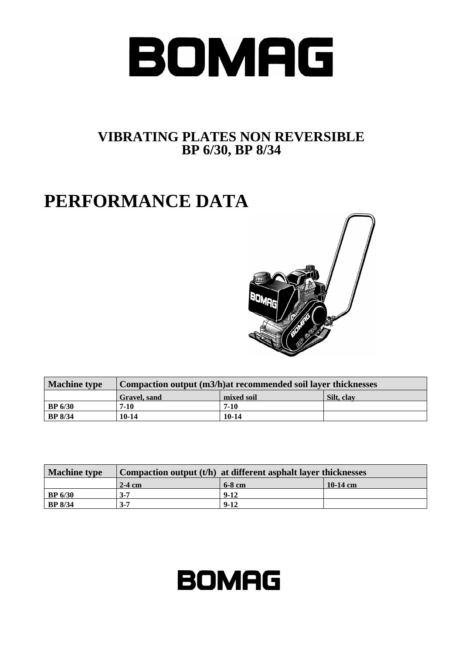

## **VIBRATING PLATES NON REVERSIBLE BP 6/30, BP 8/34**

## **PERFORMANCE DATA**



| <b>Machine type</b> | Compaction output (m3/h) at recommended soil layer thicknesses |            |            |
|---------------------|----------------------------------------------------------------|------------|------------|
|                     | Gravel, sand                                                   | mixed soil | Silt, clay |
| BP 6/30             | $7-10$                                                         | $7-10$     |            |
| <b>BP</b> 8/34      | 10-14                                                          | $10-14$    |            |

| <b>Machine type</b> | Compaction output $(t/h)$ at different asphalt layer thicknesses |          |          |
|---------------------|------------------------------------------------------------------|----------|----------|
|                     | $2-4$ cm                                                         | $6-8$ cm | 10-14 cm |
| $\vert$ BP 6/30     | $3 - 7$                                                          | $9-12$   |          |
| <b>BP</b> 8/34      | $3 - 7$                                                          | $9 - 12$ |          |